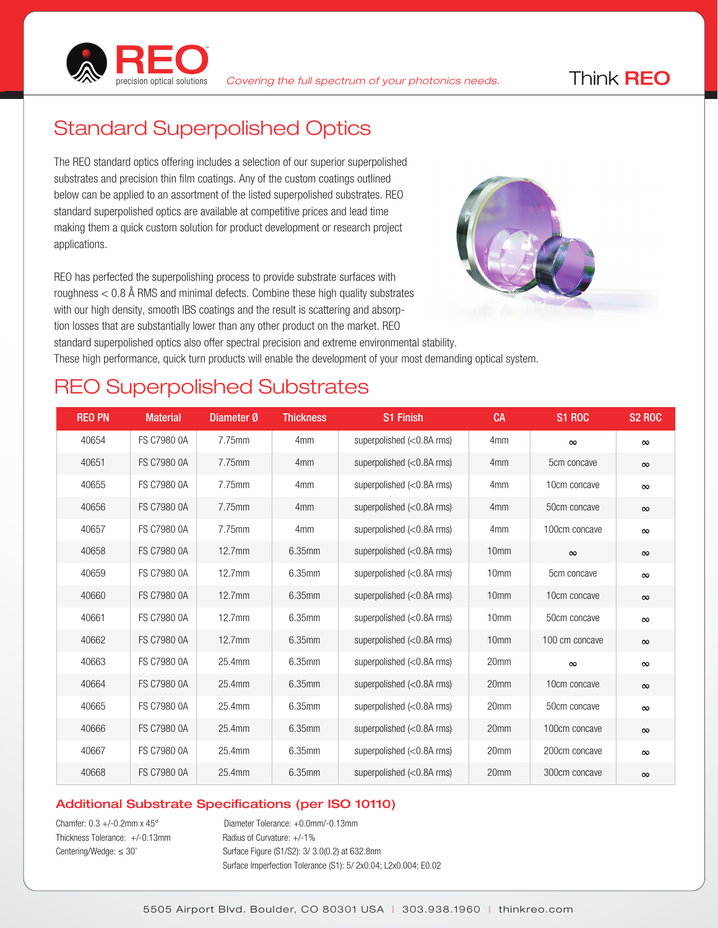

## Standard Superpolished Optics

The REO standard optics offering includes a selection of our superior superpolished substrates and precision thin film coatings. Any of the custom coatings outlined below can be applied to an assortment of the listed superpolished substrates. REO standard superpolished optics are available at competitive prices and lead time making them a quick custom solution for product development or research project applications.

REO has perfected the superpolishing process to provide substrate surfaces with roughness  $< 0.8$  Å RMS and minimal defects. Combine these high quality substrates with our high density, smooth IBS coatings and the result is scattering and absorption losses that are substantially lower than any other product on the market. REO standard superpolished optics also offer spectral precision and extreme environmental stability. These high performance, quick turn products will enable the development of your most demanding optical system.

#### REO Superpolished Substrates

| <b>REO PN</b> | <b>Material</b>    | Diameter Ø | <b>Thickness</b> | <b>S1 Finish</b>                                                | <b>CA</b>        | <b>S1 ROC</b>  | <b>S2 ROC</b> |
|---------------|--------------------|------------|------------------|-----------------------------------------------------------------|------------------|----------------|---------------|
| 40654         | FS C7980 0A        | 7.75mm     | 4 <sub>mm</sub>  | superpolished (<0.8A rms)                                       | 4 <sub>mm</sub>  | $\infty$       | $\infty$      |
| 40651         | FS C7980 0A        | 7.75mm     | 4 <sub>mm</sub>  | superpolished $(<0.8A$ rms)                                     | 4 <sub>mm</sub>  | 5cm concave    | $\infty$      |
| 40655         | FS C7980 0A        | 7.75mm     | 4 <sub>mm</sub>  | superpolished $(<0.8A$ rms)                                     | 4 <sub>mm</sub>  | 10cm concave   | $\infty$      |
| 40656         | FS C7980 0A        | 7.75mm     | 4 <sub>mm</sub>  | superpolished $\left\langle 0.8A \right\rangle$ rms)            | 4 <sub>mm</sub>  | 50cm concave   | $\infty$      |
| 40657         | FS C7980 0A        | 7.75mm     | 4 <sub>mm</sub>  | superpolished $\left\langle 0.8A \right\rangle$ rms)            | 4 <sub>mm</sub>  | 100cm concave  | $\infty$      |
| 40658         | <b>FS C7980 0A</b> | $12.7$ mm  | 6.35mm           | superpolished $\left\langle \langle 0.8A \rangle \right\rangle$ | 10 <sub>mm</sub> | $\infty$       | $\infty$      |
| 40659         | FS C7980 0A        | $12.7$ mm  | 6.35mm           | superpolished $\left\langle 0.8A\right\rangle$ rms)             | 10 <sub>mm</sub> | 5cm concave    | $\infty$      |
| 40660         | <b>FS C7980 0A</b> | $12.7$ mm  | 6.35mm           | superpolished $(<0.8A$ rms)                                     | 10 <sub>mm</sub> | 10cm concave   | $\infty$      |
| 40661         | FS C7980 0A        | $12.7$ mm  | 6.35mm           | superpolished $(<0.8A$ rms)                                     | 10 <sub>mm</sub> | 50cm concave   | $\infty$      |
| 40662         | FS C7980 0A        | 12.7mm     | 6.35mm           | superpolished $(<0.8A$ rms)                                     | 10 <sub>mm</sub> | 100 cm concave | $\infty$      |
| 40663         | FS C7980 0A        | 25.4mm     | 6.35mm           | superpolished $(<0.8A$ rms)                                     | 20mm             | $\infty$       | $\infty$      |
| 40664         | <b>FS C7980 0A</b> | 25.4mm     | 6.35mm           | superpolished $(<0.8A$ rms)                                     | 20mm             | 10cm concave   | $\infty$      |
| 40665         | FS C7980 0A        | 25.4mm     | 6.35mm           | superpolished $(<0.8A$ rms)                                     | 20mm             | 50cm concave   | $\infty$      |
| 40666         | <b>FS C7980 0A</b> | 25.4mm     | 6.35mm           | superpolished $(<0.8A$ rms)                                     | 20mm             | 100cm concave  | $\infty$      |
| 40667         | FS C7980 0A        | 25.4mm     | 6.35mm           | superpolished $(<0.8A$ rms)                                     | 20mm             | 200cm concave  | $\infty$      |
| 40668         | <b>FS C7980 0A</b> | 25.4mm     | 6.35mm           | superpolished $\left\langle 0.8A\right\rangle$ rms)             | 20mm             | 300cm concave  | $\infty$      |

#### Additional Substrate Specifications (per ISO 10110)

Thickness Tolerance:  $+/-0.13$ mm Radius of Curvature:  $+/-1\%$ 

Chamfer: 0.3 +/-0.2mm x 45° Diameter Tolerance: +0.0mm/-0.13mm Centering/Wedge: ≤ 30' Surface Figure (S1/S2): 3/ 3.0(0.2) at 632.8nm Surface Imperfection Tolerance (S1): 5/ 2x0.04; L2x0.004; E0.02